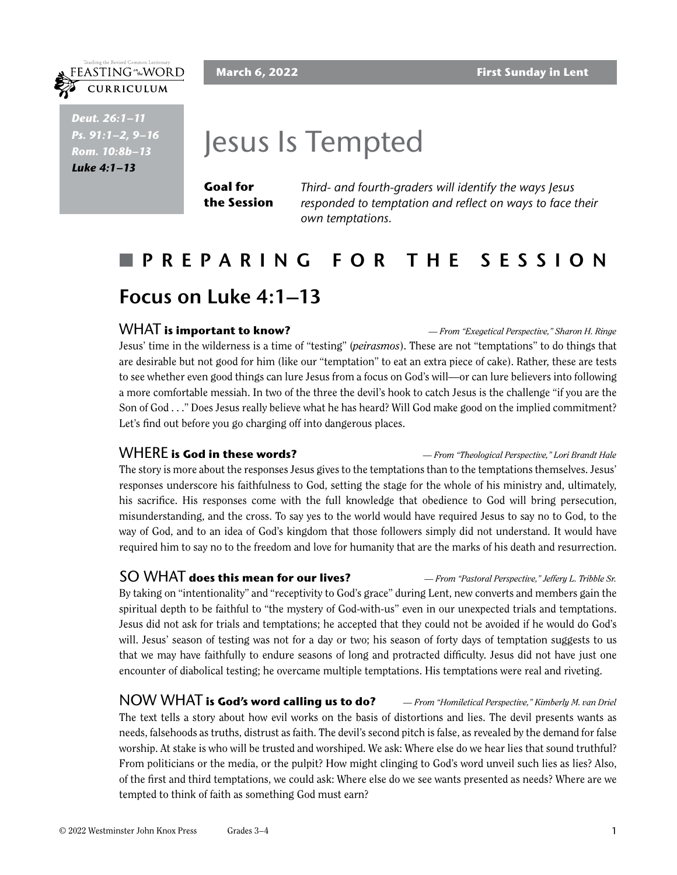#### **March 6, 2022 First Sunday in Lent**

*Deut. 26:1–11 Ps. 91:1–2, 9–16 Rom. 10:8b–13 Luke 4:1–13*

**EX CURRICULUM** 

FEASTING<sup>on</sup>the WORD

# Jesus Is Tempted

**Goal for the Session** *Third- and fourth-graders will identify the ways Jesus responded to temptation and reflect on ways to face their own temptations.* 

# n **PREPARING FOR THE SESSION Focus on Luke 4:1–13**

#### WHAT **is important to know?** *— From "Exegetical Perspective," Sharon H. Ringe*

Jesus' time in the wilderness is a time of "testing" (*peirasmos*). These are not "temptations" to do things that are desirable but not good for him (like our "temptation" to eat an extra piece of cake). Rather, these are tests to see whether even good things can lure Jesus from a focus on God's will—or can lure believers into following a more comfortable messiah. In two of the three the devil's hook to catch Jesus is the challenge "if you are the Son of God . . ." Does Jesus really believe what he has heard? Will God make good on the implied commitment? Let's find out before you go charging off into dangerous places.

### WHERE **is God in these words?** *— From "Theological Perspective," Lori Brandt Hale*

The story is more about the responses Jesus gives to the temptations than to the temptations themselves. Jesus' responses underscore his faithfulness to God, setting the stage for the whole of his ministry and, ultimately, his sacrifice. His responses come with the full knowledge that obedience to God will bring persecution, misunderstanding, and the cross. To say yes to the world would have required Jesus to say no to God, to the way of God, and to an idea of God's kingdom that those followers simply did not understand. It would have required him to say no to the freedom and love for humanity that are the marks of his death and resurrection.

### SO WHAT **does this mean for our lives?** *— From "Pastoral Perspective," Jeffery L. Tribble Sr.*

By taking on "intentionality" and "receptivity to God's grace" during Lent, new converts and members gain the spiritual depth to be faithful to "the mystery of God-with-us" even in our unexpected trials and temptations. Jesus did not ask for trials and temptations; he accepted that they could not be avoided if he would do God's will. Jesus' season of testing was not for a day or two; his season of forty days of temptation suggests to us that we may have faithfully to endure seasons of long and protracted difficulty. Jesus did not have just one encounter of diabolical testing; he overcame multiple temptations. His temptations were real and riveting.

## NOW WHAT **is God's word calling us to do?** *— From "Homiletical Perspective," Kimberly M. van Driel*

The text tells a story about how evil works on the basis of distortions and lies. The devil presents wants as needs, falsehoods as truths, distrust as faith. The devil's second pitch is false, as revealed by the demand for false worship. At stake is who will be trusted and worshiped. We ask: Where else do we hear lies that sound truthful? From politicians or the media, or the pulpit? How might clinging to God's word unveil such lies as lies? Also, of the first and third temptations, we could ask: Where else do we see wants presented as needs? Where are we tempted to think of faith as something God must earn?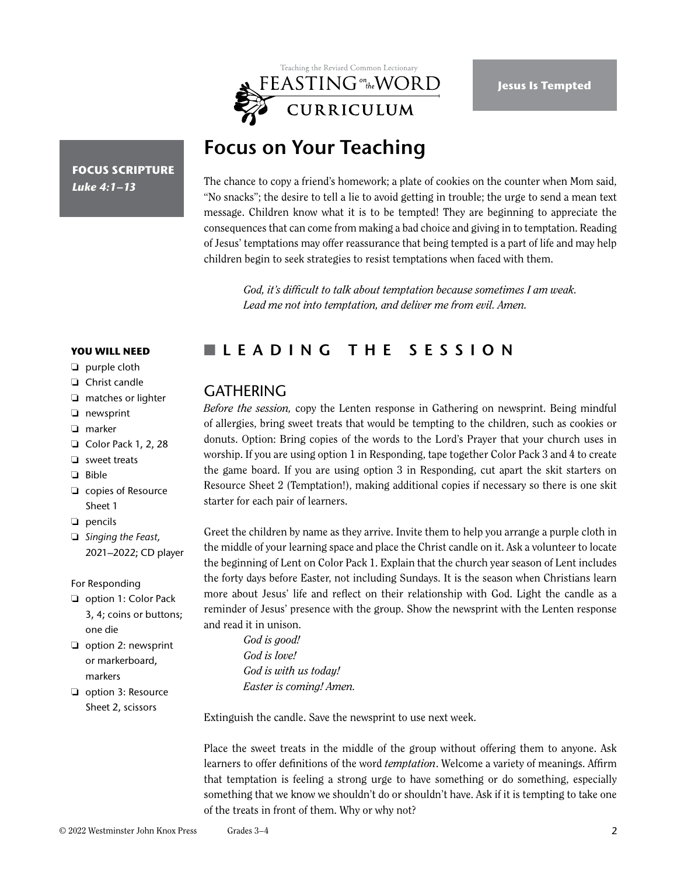

## **Focus on Your Teaching**

**FOCUS SCRIPTURE** *Luke 4:1–13*

The chance to copy a friend's homework; a plate of cookies on the counter when Mom said, "No snacks"; the desire to tell a lie to avoid getting in trouble; the urge to send a mean text message. Children know what it is to be tempted! They are beginning to appreciate the consequences that can come from making a bad choice and giving in to temptation. Reading of Jesus' temptations may offer reassurance that being tempted is a part of life and may help children begin to seek strategies to resist temptations when faced with them.

*God, it's difficult to talk about temptation because sometimes I am weak. Lead me not into temptation, and deliver me from evil. Amen.*

#### **YOU WILL NEED**

- ❏ purple cloth
- ❏ Christ candle
- ❏ matches or lighter
- ❏ newsprint
- ❏ marker
- ❏ Color Pack 1, 2, 28
- ❏ sweet treats
- ❏ Bible
- ❏ copies of Resource Sheet 1
- ❏ pencils
- ❏ *Singing the Feast,* 2021–2022; CD player

#### For Responding

- ❏ option 1: Color Pack 3, 4; coins or buttons; one die
- ❏ option 2: newsprint or markerboard, markers
- ❏ option 3: Resource Sheet 2, scissors

## n **LEADING THE SESSION**

## **GATHERING**

*Before the session,* copy the Lenten response in Gathering on newsprint. Being mindful of allergies, bring sweet treats that would be tempting to the children, such as cookies or donuts. Option: Bring copies of the words to the Lord's Prayer that your church uses in worship. If you are using option 1 in Responding, tape together Color Pack 3 and 4 to create the game board. If you are using option 3 in Responding, cut apart the skit starters on Resource Sheet 2 (Temptation!), making additional copies if necessary so there is one skit starter for each pair of learners.

Greet the children by name as they arrive. Invite them to help you arrange a purple cloth in the middle of your learning space and place the Christ candle on it. Ask a volunteer to locate the beginning of Lent on Color Pack 1. Explain that the church year season of Lent includes the forty days before Easter, not including Sundays. It is the season when Christians learn more about Jesus' life and reflect on their relationship with God. Light the candle as a reminder of Jesus' presence with the group. Show the newsprint with the Lenten response and read it in unison.

*God is good! God is love! God is with us today! Easter is coming! Amen.*

Extinguish the candle. Save the newsprint to use next week.

Place the sweet treats in the middle of the group without offering them to anyone. Ask learners to offer definitions of the word *temptation*. Welcome a variety of meanings. Affirm that temptation is feeling a strong urge to have something or do something, especially something that we know we shouldn't do or shouldn't have. Ask if it is tempting to take one of the treats in front of them. Why or why not?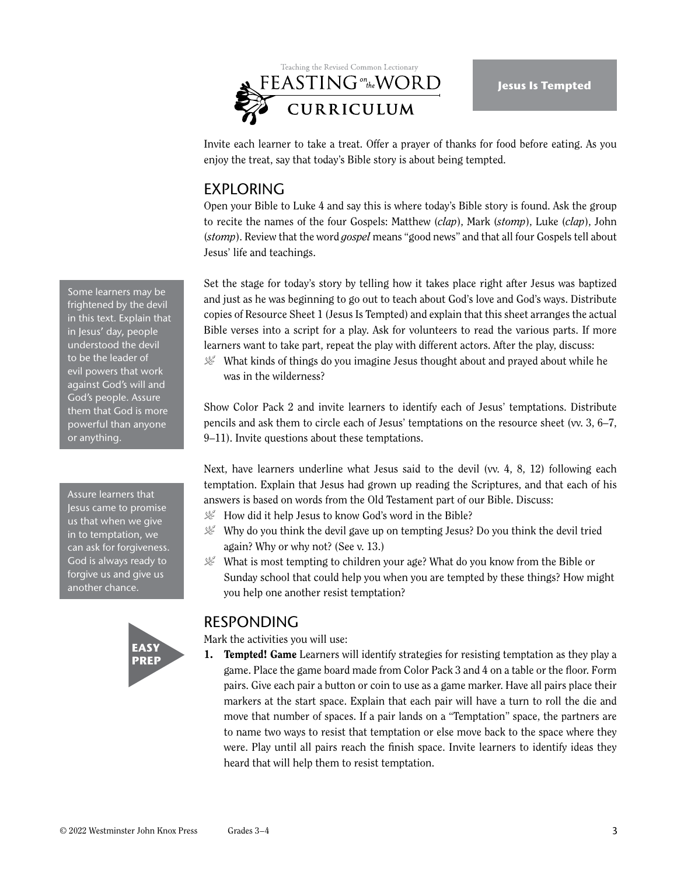

Invite each learner to take a treat. Offer a prayer of thanks for food before eating. As you enjoy the treat, say that today's Bible story is about being tempted.

## EXPLORING

Open your Bible to Luke 4 and say this is where today's Bible story is found. Ask the group to recite the names of the four Gospels: Matthew (*clap*), Mark (*stomp*), Luke (*clap*), John (*stomp*). Review that the word *gospel* means "good news" and that all four Gospels tell about Jesus' life and teachings.

Set the stage for today's story by telling how it takes place right after Jesus was baptized and just as he was beginning to go out to teach about God's love and God's ways. Distribute copies of Resource Sheet 1 (Jesus Is Tempted) and explain that this sheet arranges the actual Bible verses into a script for a play. Ask for volunteers to read the various parts. If more learners want to take part, repeat the play with different actors. After the play, discuss:

 $\mathcal{L}$  What kinds of things do you imagine Jesus thought about and prayed about while he was in the wilderness?

Show Color Pack 2 and invite learners to identify each of Jesus' temptations. Distribute pencils and ask them to circle each of Jesus' temptations on the resource sheet (vv. 3, 6–7, 9–11). Invite questions about these temptations.

Next, have learners underline what Jesus said to the devil (vv. 4, 8, 12) following each temptation. Explain that Jesus had grown up reading the Scriptures, and that each of his answers is based on words from the Old Testament part of our Bible. Discuss:

- $\mathcal{L}$  How did it help Jesus to know God's word in the Bible?
- $\mathcal{L}$  Why do you think the devil gave up on tempting Jesus? Do you think the devil tried again? Why or why not? (See v. 13.)
- $\mathcal{L}$  What is most tempting to children your age? What do you know from the Bible or Sunday school that could help you when you are tempted by these things? How might you help one another resist temptation?

## RESPONDING

Mark the activities you will use:

1. **Tempted! Game** Learners will identify strategies for resisting temptation as they play a game. Place the game board made from Color Pack 3 and 4 on a table or the floor. Form pairs. Give each pair a button or coin to use as a game marker. Have all pairs place their markers at the start space. Explain that each pair will have a turn to roll the die and move that number of spaces. If a pair lands on a "Temptation" space, the partners are to name two ways to resist that temptation or else move back to the space where they were. Play until all pairs reach the finish space. Invite learners to identify ideas they heard that will help them to resist temptation.

Some learners may be frightened by the devil in this text. Explain that in Jesus' day, people understood the devil to be the leader of evil powers that work against God's will and God's people. Assure them that God is more powerful than anyone or anything.

Assure learners that Jesus came to promise us that when we give in to temptation, we can ask for forgiveness. God is always ready to forgive us and give us another chance.

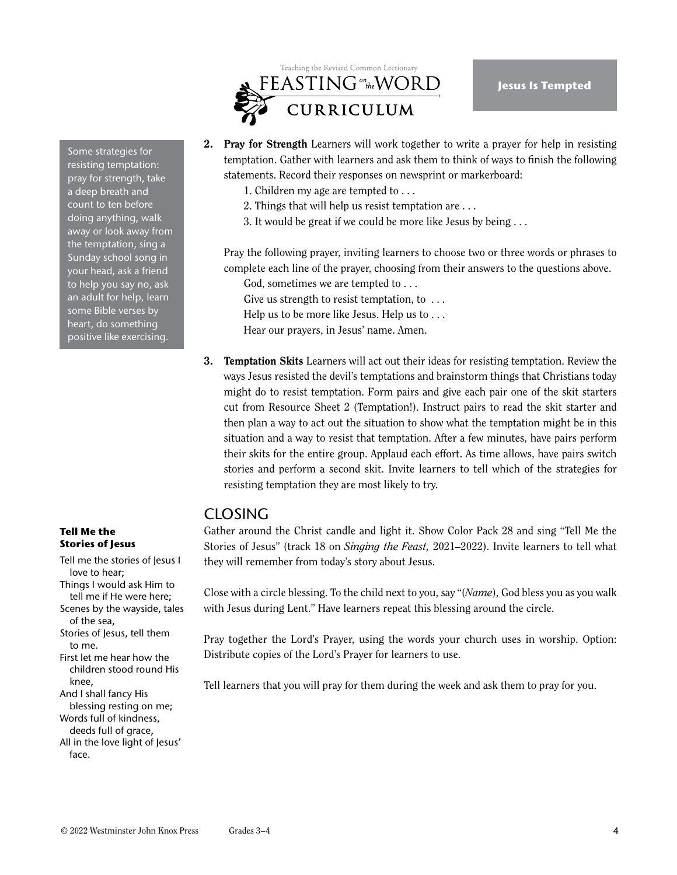

Some strategies for resisting temptation: pray for strength, take a deep breath and count to ten before doing anything, walk away or look away from the temptation, sing a Sunday school song in your head, ask a friend to help you say no, ask an adult for help, learn some Bible verses by heart, do something positive like exercising.

#### **Tell Me the Stories of Jesus**

Tell me the stories of Jesus I love to hear; Things I would ask Him to tell me if He were here; Scenes by the wayside, tales of the sea, Stories of Jesus, tell them to me. First let me hear how the children stood round His knee, And I shall fancy His blessing resting on me; Words full of kindness, deeds full of grace, All in the love light of Jesus' face.

- 2. Pray for Strength Learners will work together to write a prayer for help in resisting temptation. Gather with learners and ask them to think of ways to finish the following statements. Record their responses on newsprint or markerboard:
	- 1. Children my age are tempted to . . .
	- 2. Things that will help us resist temptation are . . .
	- 3. It would be great if we could be more like Jesus by being . . .

Pray the following prayer, inviting learners to choose two or three words or phrases to complete each line of the prayer, choosing from their answers to the questions above.

God, sometimes we are tempted to . . .

Give us strength to resist temptation, to  $\dots$ 

Help us to be more like Jesus. Help us to . . .

Hear our prayers, in Jesus' name. Amen.

3. Temptation Skits Learners will act out their ideas for resisting temptation. Review the ways Jesus resisted the devil's temptations and brainstorm things that Christians today might do to resist temptation. Form pairs and give each pair one of the skit starters cut from Resource Sheet 2 (Temptation!). Instruct pairs to read the skit starter and then plan a way to act out the situation to show what the temptation might be in this situation and a way to resist that temptation. After a few minutes, have pairs perform their skits for the entire group. Applaud each effort. As time allows, have pairs switch stories and perform a second skit. Invite learners to tell which of the strategies for resisting temptation they are most likely to try.

## CLOSING

Gather around the Christ candle and light it. Show Color Pack 28 and sing "Tell Me the Stories of Jesus" (track 18 on *Singing the Feast,* 2021–2022). Invite learners to tell what they will remember from today's story about Jesus.

Close with a circle blessing. To the child next to you, say "(*Name*), God bless you as you walk with Jesus during Lent." Have learners repeat this blessing around the circle.

Pray together the Lord's Prayer, using the words your church uses in worship. Option: Distribute copies of the Lord's Prayer for learners to use.

Tell learners that you will pray for them during the week and ask them to pray for you.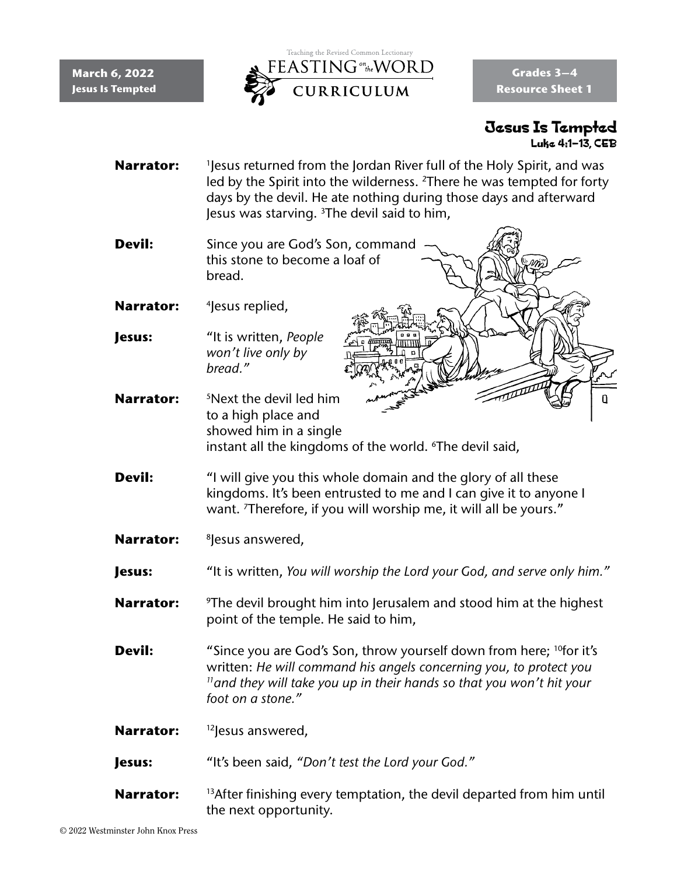### **March 6, 2022 Jesus Is Tempted**



**Grades 3–4 Resource Sheet 1**

## Jesus Is Tempted

Luke 4:1–13, CEB

- **Narrator:** <sup>1</sup> lesus returned from the Jordan River full of the Holy Spirit, and was led by the Spirit into the wilderness. 2There he was tempted for forty days by the devil. He ate nothing during those days and afterward Jesus was starving. 3The devil said to him,
- **Devil:** Since you are God's Son, command this stone to become a loaf of bread.

**Narrator:** <sup>4</sup> esus replied,

**Jesus:** "It is written, *People won't live only by bread."*



- **Narrator:** <sup>5</sup>Next the devil led him to a high place and showed him in a single instant all the kingdoms of the world. 6The devil said,
- **Devil:** "I will give you this whole domain and the glory of all these kingdoms. It's been entrusted to me and I can give it to anyone I want. <sup>7</sup>Therefore, if you will worship me, it will all be yours."
- **Narrator:** 8Jesus answered,

**Jesus:** "It is written, *You will worship the Lord your God, and serve only him."*

- **Narrator:** <sup>9</sup>The devil brought him into Jerusalem and stood him at the highest point of the temple. He said to him,
- **Devil:** "Since you are God's Son, throw yourself down from here; <sup>10</sup>for it's written: *He will command his angels concerning you, to protect you 11and they will take you up in their hands so that you won't hit your foot on a stone."*
- **Narrator:** <sup>12</sup> esus answered,
- **Jesus:** "It's been said, *"Don't test the Lord your God."*
- **Narrator:** <sup>13</sup>After finishing every temptation, the devil departed from him until the next opportunity.